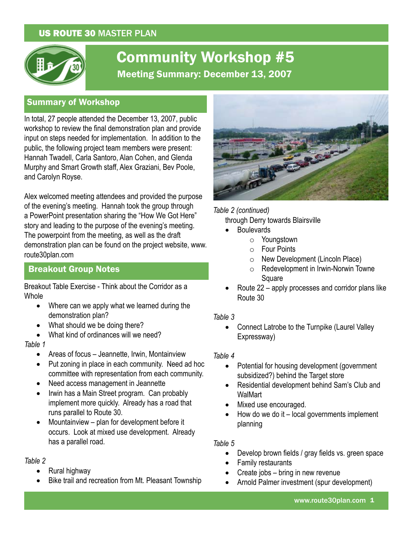### US ROUTE 30 MASTER PLAN



# Community Workshop #5 Meeting Summary: December 13, 2007

### Summary of Workshop

In total, 27 people attended the December 13, 2007, public workshop to review the final demonstration plan and provide input on steps needed for implementation. In addition to the public, the following project team members were present: Hannah Twadell, Carla Santoro, Alan Cohen, and Glenda Murphy and Smart Growth staff, Alex Graziani, Bev Poole, and Carolyn Royse.

Alex welcomed meeting attendees and provided the purpose of the evening's meeting. Hannah took the group through a PowerPoint presentation sharing the "How We Got Here" story and leading to the purpose of the evening's meeting. The powerpoint from the meeting, as well as the draft demonstration plan can be found on the project website, www. route30plan.com

### Breakout Group Notes

Breakout Table Exercise - Think about the Corridor as a Whole

- Where can we apply what we learned during the demonstration plan?
- What should we be doing there?
- What kind of ordinances will we need?

*Table 1*

- Areas of focus Jeannette, Irwin, Montainview
- Put zoning in place in each community. Need ad hoc committee with representation from each community.
- Need access management in Jeannette
- Irwin has a Main Street program. Can probably implement more quickly. Already has a road that runs parallel to Route 30.
- Mountainview plan for development before it occurs. Look at mixed use development. Already has a parallel road.

#### *Table 2*

- Rural highway
- Bike trail and recreation from Mt. Pleasant Township



*Table 2 (continued)* through Derry towards Blairsville

- **Boulevards** 
	- o Youngstown
	- $\circ$  Four Points
	- $\circ$  New Development (Lincoln Place)
	- $\circ$  Redevelopment in Irwin-Norwin Towne Square
- Route  $22$  apply processes and corridor plans like Route 30

#### *Table 3*

• Connect Latrobe to the Turnpike (Laurel Valley Expressway)

#### *Table 4*

- Potential for housing development (government subsidized?) behind the Target store
- Residential development behind Sam's Club and **WalMart**
- Mixed use encouraged.
- How do we do it  $-$  local governments implement planning

#### *Table 5*

- Develop brown fields / gray fields vs. green space
- **Family restaurants**
- Create jobs bring in new revenue
- Arnold Palmer investment (spur development)